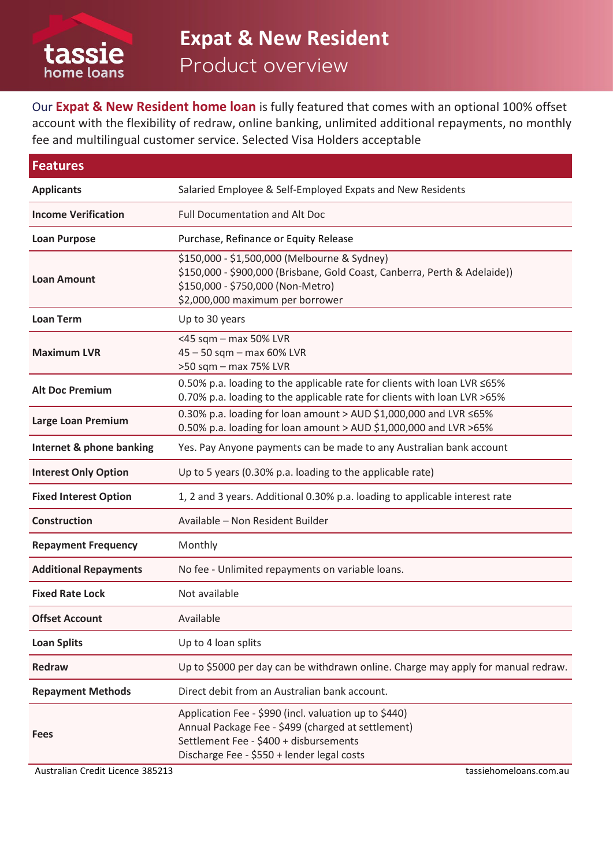

Our **Expat & New Resident home loan** is fully featured that comes with an optional 100% offset account with the flexibility of redraw, online banking, unlimited additional repayments, no monthly fee and multilingual customer service. Selected Visa Holders acceptable

| <b>Features</b>              |                                                                                                                                                                                                     |  |  |  |
|------------------------------|-----------------------------------------------------------------------------------------------------------------------------------------------------------------------------------------------------|--|--|--|
| <b>Applicants</b>            | Salaried Employee & Self-Employed Expats and New Residents                                                                                                                                          |  |  |  |
| <b>Income Verification</b>   | <b>Full Documentation and Alt Doc</b>                                                                                                                                                               |  |  |  |
| <b>Loan Purpose</b>          | Purchase, Refinance or Equity Release                                                                                                                                                               |  |  |  |
| <b>Loan Amount</b>           | \$150,000 - \$1,500,000 (Melbourne & Sydney)<br>\$150,000 - \$900,000 (Brisbane, Gold Coast, Canberra, Perth & Adelaide))<br>\$150,000 - \$750,000 (Non-Metro)<br>\$2,000,000 maximum per borrower  |  |  |  |
| <b>Loan Term</b>             | Up to 30 years                                                                                                                                                                                      |  |  |  |
| <b>Maximum LVR</b>           | <45 sqm - max 50% LVR<br>45 - 50 sqm - max 60% LVR<br>>50 sqm - max 75% LVR                                                                                                                         |  |  |  |
| <b>Alt Doc Premium</b>       | 0.50% p.a. loading to the applicable rate for clients with loan LVR ≤65%<br>0.70% p.a. loading to the applicable rate for clients with loan LVR >65%                                                |  |  |  |
| Large Loan Premium           | 0.30% p.a. loading for loan amount > AUD \$1,000,000 and LVR $\leq$ 65%<br>0.50% p.a. loading for loan amount > AUD \$1,000,000 and LVR >65%                                                        |  |  |  |
| Internet & phone banking     | Yes. Pay Anyone payments can be made to any Australian bank account                                                                                                                                 |  |  |  |
| <b>Interest Only Option</b>  | Up to 5 years (0.30% p.a. loading to the applicable rate)                                                                                                                                           |  |  |  |
| <b>Fixed Interest Option</b> | 1, 2 and 3 years. Additional 0.30% p.a. loading to applicable interest rate                                                                                                                         |  |  |  |
| <b>Construction</b>          | Available - Non Resident Builder                                                                                                                                                                    |  |  |  |
| <b>Repayment Frequency</b>   | Monthly                                                                                                                                                                                             |  |  |  |
| <b>Additional Repayments</b> | No fee - Unlimited repayments on variable loans.                                                                                                                                                    |  |  |  |
| <b>Fixed Rate Lock</b>       | Not available                                                                                                                                                                                       |  |  |  |
| <b>Offset Account</b>        | Available                                                                                                                                                                                           |  |  |  |
| <b>Loan Splits</b>           | Up to 4 loan splits                                                                                                                                                                                 |  |  |  |
| <b>Redraw</b>                | Up to \$5000 per day can be withdrawn online. Charge may apply for manual redraw.                                                                                                                   |  |  |  |
| <b>Repayment Methods</b>     | Direct debit from an Australian bank account.                                                                                                                                                       |  |  |  |
| <b>Fees</b>                  | Application Fee - \$990 (incl. valuation up to \$440)<br>Annual Package Fee - \$499 (charged at settlement)<br>Settlement Fee - \$400 + disbursements<br>Discharge Fee - \$550 + lender legal costs |  |  |  |

Australian Credit Licence 385213 tassiehomeloans.com.au